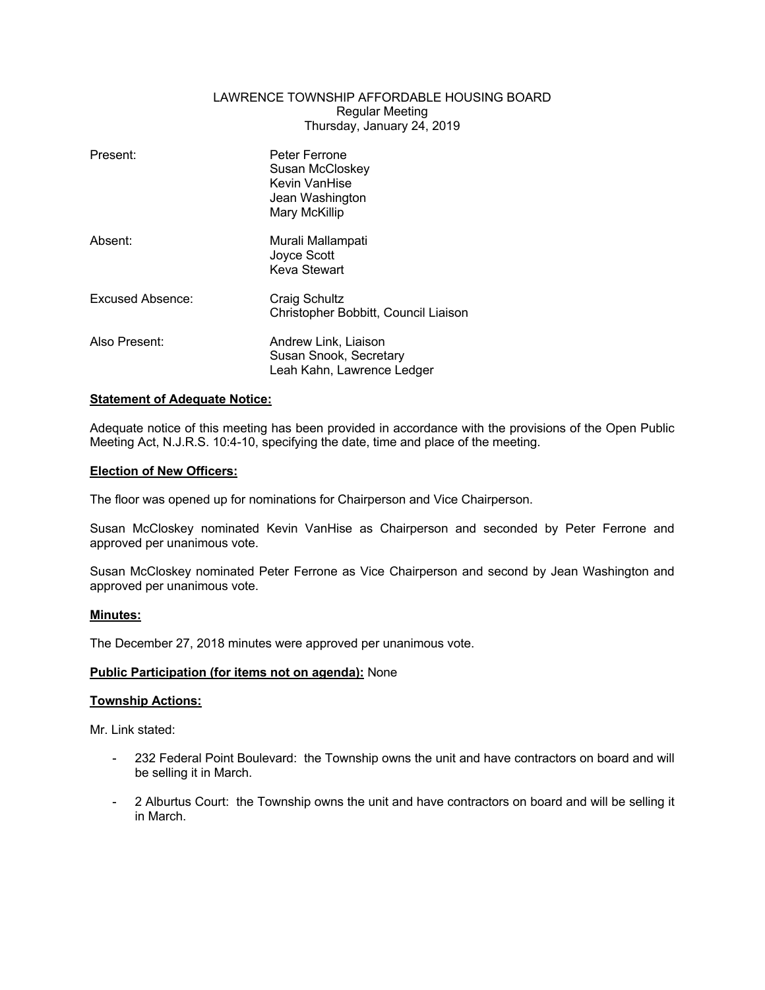# LAWRENCE TOWNSHIP AFFORDABLE HOUSING BOARD Regular Meeting Thursday, January 24, 2019

| Present:         | Peter Ferrone<br>Susan McCloskey<br>Kevin VanHise<br>Jean Washington<br>Mary McKillip |
|------------------|---------------------------------------------------------------------------------------|
| Absent:          | Murali Mallampati<br>Joyce Scott<br>Keva Stewart                                      |
| Excused Absence: | Craig Schultz<br>Christopher Bobbitt, Council Liaison                                 |
| Also Present:    | Andrew Link, Liaison<br>Susan Snook, Secretary<br>Leah Kahn, Lawrence Ledger          |

# **Statement of Adequate Notice:**

Adequate notice of this meeting has been provided in accordance with the provisions of the Open Public Meeting Act, N.J.R.S. 10:4-10, specifying the date, time and place of the meeting.

# **Election of New Officers:**

The floor was opened up for nominations for Chairperson and Vice Chairperson.

Susan McCloskey nominated Kevin VanHise as Chairperson and seconded by Peter Ferrone and approved per unanimous vote.

Susan McCloskey nominated Peter Ferrone as Vice Chairperson and second by Jean Washington and approved per unanimous vote.

# **Minutes:**

The December 27, 2018 minutes were approved per unanimous vote.

# **Public Participation (for items not on agenda):** None

# **Township Actions:**

Mr. Link stated:

- 232 Federal Point Boulevard: the Township owns the unit and have contractors on board and will be selling it in March.
- 2 Alburtus Court: the Township owns the unit and have contractors on board and will be selling it in March.